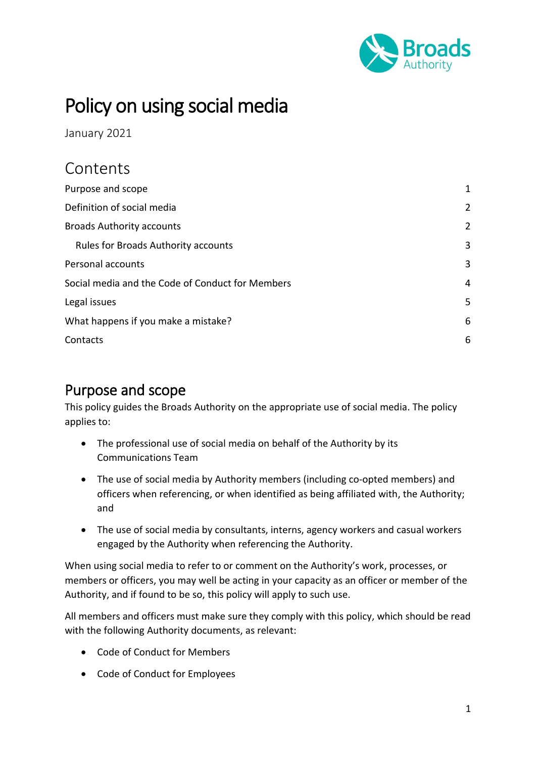

# Policy on using social media

January 2021

## **Contents**

| Purpose and scope                                | 1              |
|--------------------------------------------------|----------------|
| Definition of social media                       | $\overline{2}$ |
| <b>Broads Authority accounts</b>                 | $\overline{2}$ |
| <b>Rules for Broads Authority accounts</b>       | 3              |
| Personal accounts                                | 3              |
| Social media and the Code of Conduct for Members | $\overline{4}$ |
| Legal issues                                     | 5              |
| What happens if you make a mistake?              | 6              |
| Contacts                                         | 6              |

### <span id="page-0-0"></span>Purpose and scope

This policy guides the Broads Authority on the appropriate use of social media. The policy applies to:

- The professional use of social media on behalf of the Authority by its Communications Team
- The use of social media by Authority members (including co-opted members) and officers when referencing, or when identified as being affiliated with, the Authority; and
- The use of social media by consultants, interns, agency workers and casual workers engaged by the Authority when referencing the Authority.

When using social media to refer to or comment on the Authority's work, processes, or members or officers, you may well be acting in your capacity as an officer or member of the Authority, and if found to be so, this policy will apply to such use.

All members and officers must make sure they comply with this policy, which should be read with the following Authority documents, as relevant:

- Code of Conduct for Members
- Code of Conduct for Employees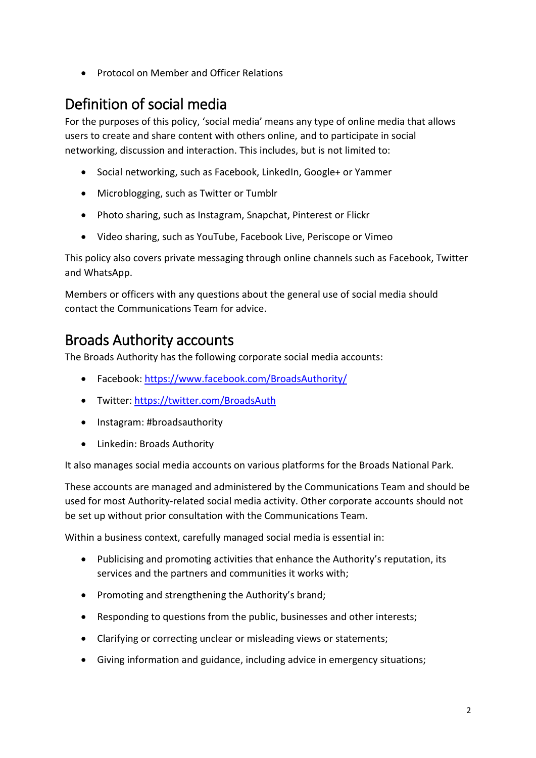• Protocol on Member and Officer Relations

## <span id="page-1-0"></span>Definition of social media

For the purposes of this policy, 'social media' means any type of online media that allows users to create and share content with others online, and to participate in social networking, discussion and interaction. This includes, but is not limited to:

- Social networking, such as Facebook, LinkedIn, Google+ or Yammer
- Microblogging, such as Twitter or Tumblr
- Photo sharing, such as Instagram, Snapchat, Pinterest or Flickr
- Video sharing, such as YouTube, Facebook Live, Periscope or Vimeo

This policy also covers private messaging through online channels such as Facebook, Twitter and WhatsApp.

Members or officers with any questions about the general use of social media should contact the Communications Team for advice.

## <span id="page-1-1"></span>Broads Authority accounts

The Broads Authority has the following corporate social media accounts:

- Facebook[: https://www.facebook.com/BroadsAuthority/](https://www.facebook.com/BroadsAuthority/)
- Twitter:<https://twitter.com/BroadsAuth>
- Instagram: #broadsauthority
- Linkedin: Broads Authority

It also manages social media accounts on various platforms for the Broads National Park.

These accounts are managed and administered by the Communications Team and should be used for most Authority-related social media activity. Other corporate accounts should not be set up without prior consultation with the Communications Team.

Within a business context, carefully managed social media is essential in:

- Publicising and promoting activities that enhance the Authority's reputation, its services and the partners and communities it works with;
- Promoting and strengthening the Authority's brand;
- Responding to questions from the public, businesses and other interests;
- Clarifying or correcting unclear or misleading views or statements;
- Giving information and guidance, including advice in emergency situations;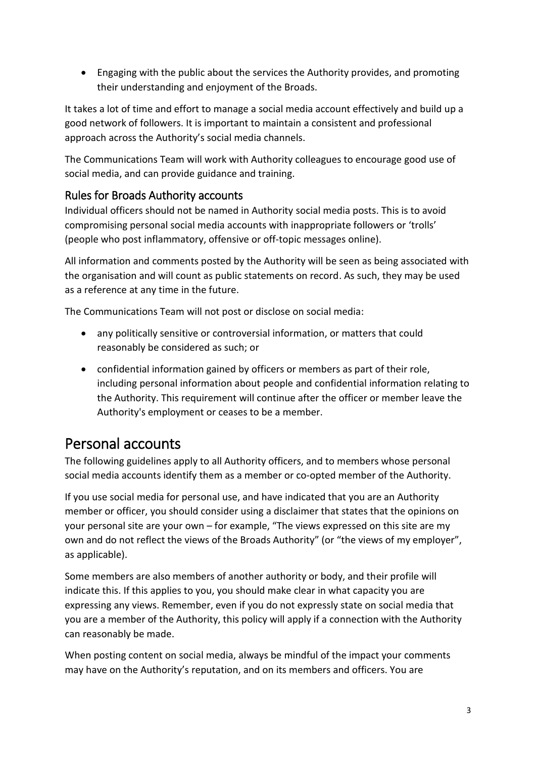• Engaging with the public about the services the Authority provides, and promoting their understanding and enjoyment of the Broads.

It takes a lot of time and effort to manage a social media account effectively and build up a good network of followers. It is important to maintain a consistent and professional approach across the Authority's social media channels.

The Communications Team will work with Authority colleagues to encourage good use of social media, and can provide guidance and training.

#### <span id="page-2-0"></span>Rules for Broads Authority accounts

Individual officers should not be named in Authority social media posts. This is to avoid compromising personal social media accounts with inappropriate followers or 'trolls' (people who post inflammatory, offensive or off-topic messages online).

All information and comments posted by the Authority will be seen as being associated with the organisation and will count as public statements on record. As such, they may be used as a reference at any time in the future.

The Communications Team will not post or disclose on social media:

- any politically sensitive or controversial information, or matters that could reasonably be considered as such; or
- confidential information gained by officers or members as part of their role, including personal information about people and confidential information relating to the Authority. This requirement will continue after the officer or member leave the Authority's employment or ceases to be a member.

### <span id="page-2-1"></span>Personal accounts

The following guidelines apply to all Authority officers, and to members whose personal social media accounts identify them as a member or co-opted member of the Authority.

If you use social media for personal use, and have indicated that you are an Authority member or officer, you should consider using a disclaimer that states that the opinions on your personal site are your own – for example, "The views expressed on this site are my own and do not reflect the views of the Broads Authority" (or "the views of my employer", as applicable).

Some members are also members of another authority or body, and their profile will indicate this. If this applies to you, you should make clear in what capacity you are expressing any views. Remember, even if you do not expressly state on social media that you are a member of the Authority, this policy will apply if a connection with the Authority can reasonably be made.

When posting content on social media, always be mindful of the impact your comments may have on the Authority's reputation, and on its members and officers. You are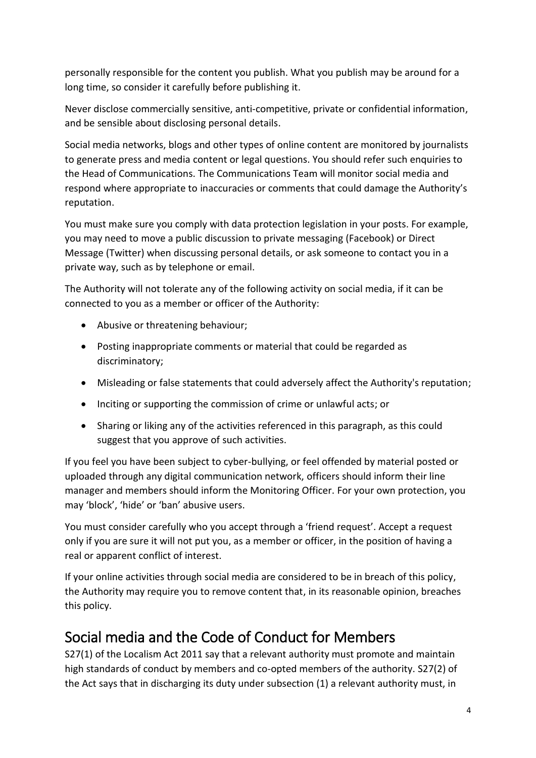personally responsible for the content you publish. What you publish may be around for a long time, so consider it carefully before publishing it.

Never disclose commercially sensitive, anti‐competitive, private or confidential information, and be sensible about disclosing personal details.

Social media networks, blogs and other types of online content are monitored by journalists to generate press and media content or legal questions. You should refer such enquiries to the Head of Communications. The Communications Team will monitor social media and respond where appropriate to inaccuracies or comments that could damage the Authority's reputation.

You must make sure you comply with data protection legislation in your posts. For example, you may need to move a public discussion to private messaging (Facebook) or Direct Message (Twitter) when discussing personal details, or ask someone to contact you in a private way, such as by telephone or email.

The Authority will not tolerate any of the following activity on social media, if it can be connected to you as a member or officer of the Authority:

- Abusive or threatening behaviour;
- Posting inappropriate comments or material that could be regarded as discriminatory;
- Misleading or false statements that could adversely affect the Authority's reputation;
- Inciting or supporting the commission of crime or unlawful acts; or
- Sharing or liking any of the activities referenced in this paragraph, as this could suggest that you approve of such activities.

If you feel you have been subject to cyber-bullying, or feel offended by material posted or uploaded through any digital communication network, officers should inform their line manager and members should inform the Monitoring Officer. For your own protection, you may 'block', 'hide' or 'ban' abusive users.

You must consider carefully who you accept through a 'friend request'. Accept a request only if you are sure it will not put you, as a member or officer, in the position of having a real or apparent conflict of interest.

If your online activities through social media are considered to be in breach of this policy, the Authority may require you to remove content that, in its reasonable opinion, breaches this policy.

## <span id="page-3-0"></span>Social media and the Code of Conduct for Members

S27(1) of the Localism Act 2011 say that a relevant authority must promote and maintain high standards of conduct by members and co-opted members of the authority. S27(2) of the Act says that in discharging its duty under subsection (1) a relevant authority must, in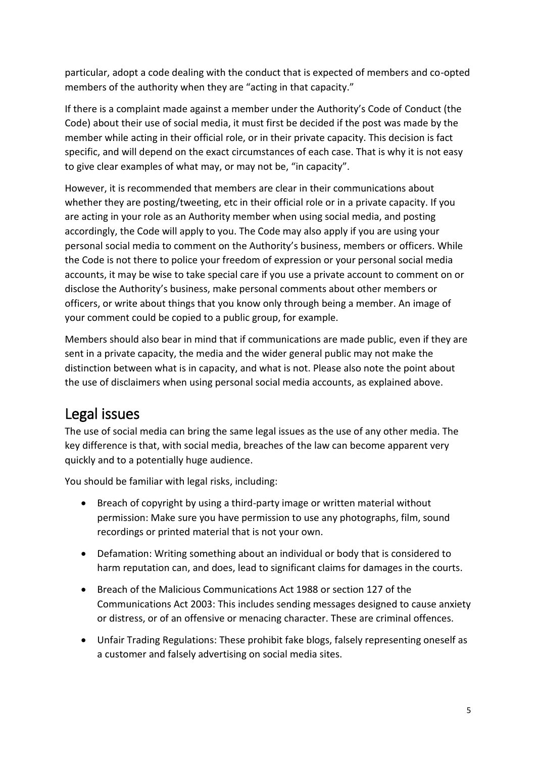particular, adopt a code dealing with the conduct that is expected of members and co-opted members of the authority when they are "acting in that capacity."

If there is a complaint made against a member under the Authority's Code of Conduct (the Code) about their use of social media, it must first be decided if the post was made by the member while acting in their official role, or in their private capacity. This decision is fact specific, and will depend on the exact circumstances of each case. That is why it is not easy to give clear examples of what may, or may not be, "in capacity".

However, it is recommended that members are clear in their communications about whether they are posting/tweeting, etc in their official role or in a private capacity. If you are acting in your role as an Authority member when using social media, and posting accordingly, the Code will apply to you. The Code may also apply if you are using your personal social media to comment on the Authority's business, members or officers. While the Code is not there to police your freedom of expression or your personal social media accounts, it may be wise to take special care if you use a private account to comment on or disclose the Authority's business, make personal comments about other members or officers, or write about things that you know only through being a member. An image of your comment could be copied to a public group, for example.

Members should also bear in mind that if communications are made public, even if they are sent in a private capacity, the media and the wider general public may not make the distinction between what is in capacity, and what is not. Please also note the point about the use of disclaimers when using personal social media accounts, as explained above.

## <span id="page-4-0"></span>Legal issues

The use of social media can bring the same legal issues as the use of any other media. The key difference is that, with social media, breaches of the law can become apparent very quickly and to a potentially huge audience.

You should be familiar with legal risks, including:

- Breach of copyright by using a third-party image or written material without permission: Make sure you have permission to use any photographs, film, sound recordings or printed material that is not your own.
- Defamation: Writing something about an individual or body that is considered to harm reputation can, and does, lead to significant claims for damages in the courts.
- Breach of the Malicious Communications Act 1988 or section 127 of the Communications Act 2003: This includes sending messages designed to cause anxiety or distress, or of an offensive or menacing character. These are criminal offences.
- Unfair Trading Regulations: These prohibit fake blogs, falsely representing oneself as a customer and falsely advertising on social media sites.